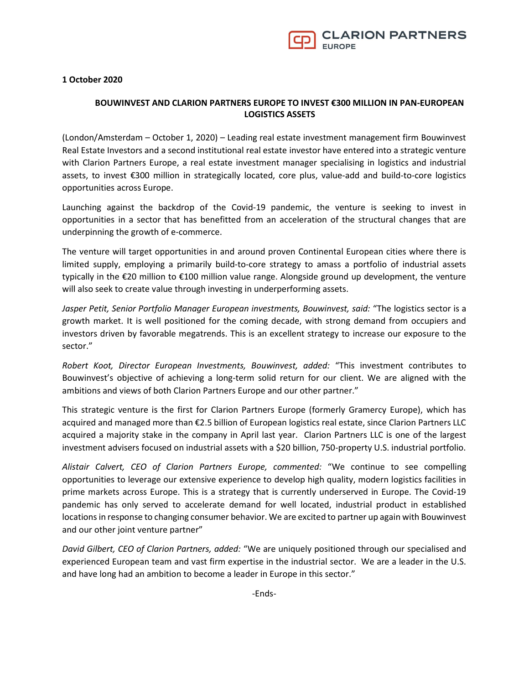

1 October 2020

## BOUWINVEST AND CLARION PARTNERS EUROPE TO INVEST €300 MILLION IN PAN-EUROPEAN LOGISTICS ASSETS

(London/Amsterdam – October 1, 2020) – Leading real estate investment management firm Bouwinvest Real Estate Investors and a second institutional real estate investor have entered into a strategic venture with Clarion Partners Europe, a real estate investment manager specialising in logistics and industrial assets, to invest €300 million in strategically located, core plus, value-add and build-to-core logistics opportunities across Europe.

Launching against the backdrop of the Covid-19 pandemic, the venture is seeking to invest in opportunities in a sector that has benefitted from an acceleration of the structural changes that are underpinning the growth of e-commerce.

The venture will target opportunities in and around proven Continental European cities where there is limited supply, employing a primarily build-to-core strategy to amass a portfolio of industrial assets typically in the €20 million to €100 million value range. Alongside ground up development, the venture will also seek to create value through investing in underperforming assets.

Jasper Petit, Senior Portfolio Manager European investments, Bouwinvest, said: "The logistics sector is a growth market. It is well positioned for the coming decade, with strong demand from occupiers and investors driven by favorable megatrends. This is an excellent strategy to increase our exposure to the sector."

Robert Koot, Director European Investments, Bouwinvest, added: "This investment contributes to Bouwinvest's objective of achieving a long-term solid return for our client. We are aligned with the ambitions and views of both Clarion Partners Europe and our other partner."

This strategic venture is the first for Clarion Partners Europe (formerly Gramercy Europe), which has acquired and managed more than €2.5 billion of European logistics real estate, since Clarion Partners LLC acquired a majority stake in the company in April last year. Clarion Partners LLC is one of the largest investment advisers focused on industrial assets with a \$20 billion, 750-property U.S. industrial portfolio.

Alistair Calvert, CEO of Clarion Partners Europe, commented: "We continue to see compelling opportunities to leverage our extensive experience to develop high quality, modern logistics facilities in prime markets across Europe. This is a strategy that is currently underserved in Europe. The Covid-19 pandemic has only served to accelerate demand for well located, industrial product in established locations in response to changing consumer behavior. We are excited to partner up again with Bouwinvest and our other joint venture partner"

David Gilbert, CEO of Clarion Partners, added: "We are uniquely positioned through our specialised and experienced European team and vast firm expertise in the industrial sector. We are a leader in the U.S. and have long had an ambition to become a leader in Europe in this sector."